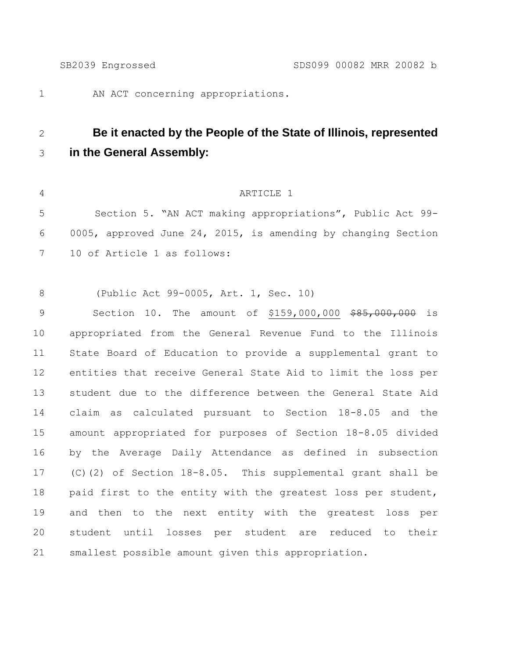1 AN ACT concerning appropriations.

## **Be it enacted by the People of the State of Illinois, represented in the General Assembly:**

## ARTICLE 1

 Section 5. "AN ACT making appropriations", Public Act 99- 0005, approved June 24, 2015, is amending by changing Section 10 of Article 1 as follows:

(Public Act 99-0005, Art. 1, Sec. 10)

9 Section 10. The amount of \$159,000,000 \$85,000,000 is appropriated from the General Revenue Fund to the Illinois State Board of Education to provide a supplemental grant to entities that receive General State Aid to limit the loss per student due to the difference between the General State Aid claim as calculated pursuant to Section 18-8.05 and the amount appropriated for purposes of Section 18-8.05 divided by the Average Daily Attendance as defined in subsection (C)(2) of Section 18-8.05. This supplemental grant shall be 18 paid first to the entity with the greatest loss per student, and then to the next entity with the greatest loss per student until losses per student are reduced to their smallest possible amount given this appropriation.